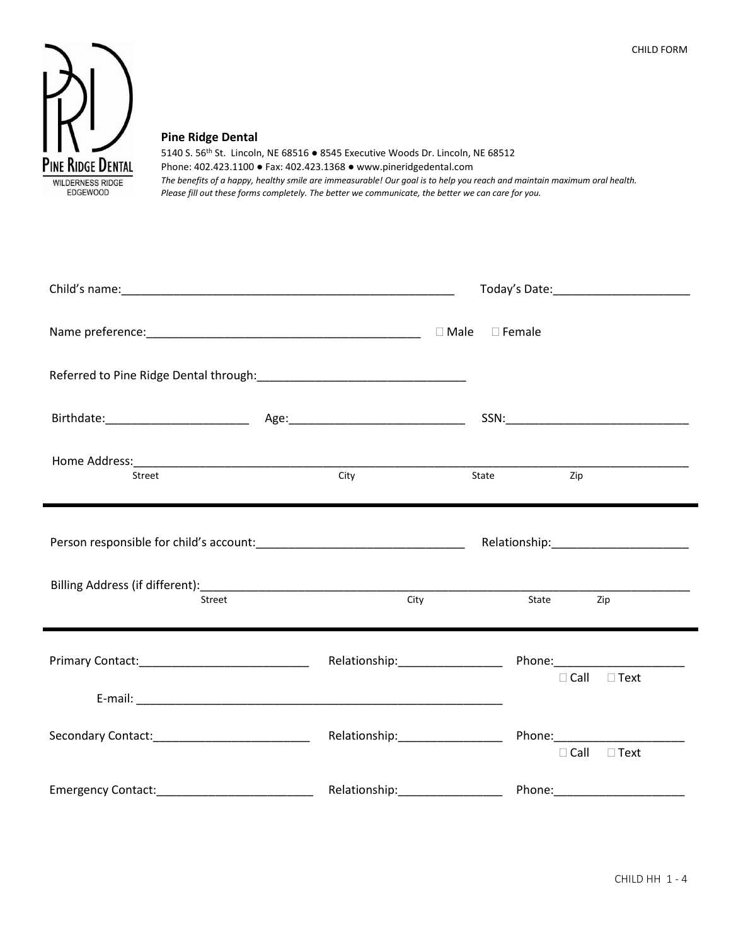

#### **Pine Ridge Dental**

5140 S. 56th St. Lincoln, NE 68516 ● 8545 Executive Woods Dr. Lincoln, NE 68512 Phone: 402.423.1100 ● Fax: 402.423.1368 ● www.pineridgedental.com *The benefits of a happy, healthy smile are immeasurable! Our goal is to help you reach and maintain maximum oral health. Please fill out these forms completely. The better we communicate, the better we can care for you.*

| Street | City | State<br>Zip            |  |
|--------|------|-------------------------|--|
|        |      |                         |  |
| Street | City | State<br>Zip            |  |
|        |      | $\Box$ Call $\Box$ Text |  |
|        |      | $\Box$ Call $\Box$ Text |  |
|        |      |                         |  |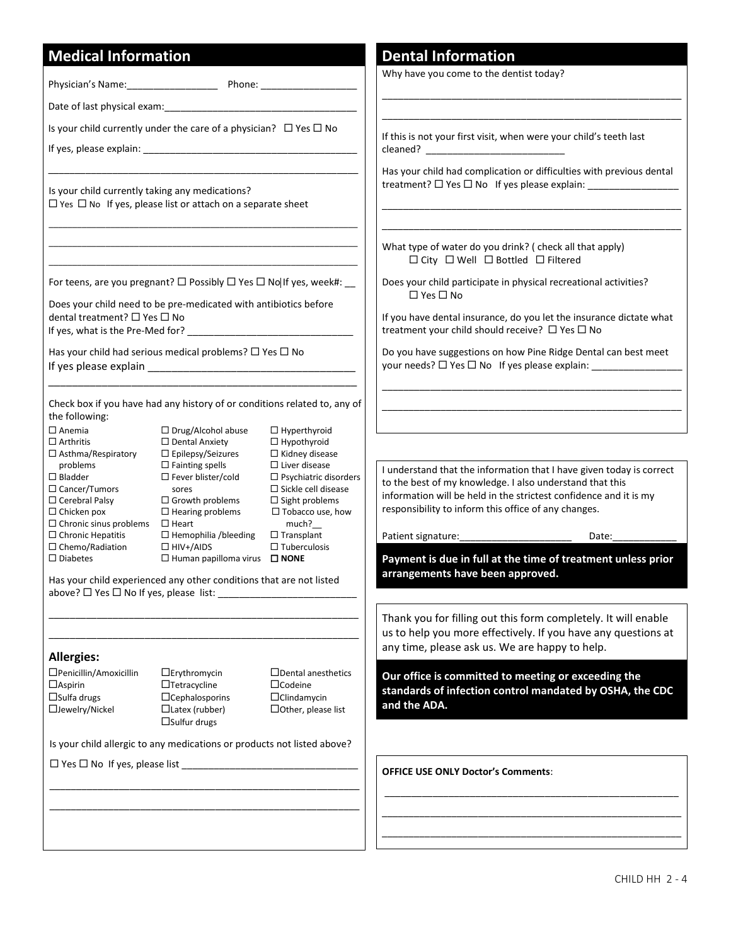## **Medical Information**

Physician's Name:\_\_\_\_\_\_\_\_\_\_\_\_\_\_\_\_\_ Phone: \_\_\_\_\_\_\_\_\_\_\_\_\_\_\_\_\_\_

Date of last physical exam:

Is your child currently under the care of a physician?  $\Box$  Yes  $\Box$  No

\_\_\_\_\_\_\_\_\_\_\_\_\_\_\_\_\_\_\_\_\_\_\_\_\_\_\_\_\_\_\_\_\_\_\_\_\_\_\_\_\_\_\_\_\_\_\_\_\_\_\_\_\_\_\_\_\_\_

\_\_\_\_\_\_\_\_\_\_\_\_\_\_\_\_\_\_\_\_\_\_\_\_\_\_\_\_\_\_\_\_\_\_\_\_\_\_\_\_\_\_\_\_\_\_\_\_\_\_\_\_\_\_\_\_\_\_\_\_\_\_\_\_\_ \_\_\_\_\_\_\_\_\_\_\_\_\_\_\_\_\_\_\_\_\_\_\_\_\_\_\_\_\_\_\_\_\_\_\_\_\_\_\_\_\_\_\_\_\_\_\_\_\_\_\_\_\_\_\_\_\_\_\_\_\_\_\_\_\_

If yes, please explain:

Is your child currently taking any medications?  $\Box$  Yes  $\Box$  No If yes, please list or attach on a separate sheet

\_\_\_\_\_\_\_\_\_\_\_\_\_\_\_\_\_\_\_\_\_\_\_\_\_\_\_\_\_\_\_\_\_\_\_\_\_\_\_\_\_\_\_\_\_\_\_\_\_\_\_\_\_\_\_\_\_\_\_\_\_\_\_\_\_ For teens, are you pregnant?  $\Box$  Possibly  $\Box$  Yes  $\Box$  No If yes, week#:

Does your child need to be pre-medicated with antibiotics before dental treatment?  $\Box$  Yes  $\Box$  No

If yes, what is the Pre-Med for?

Has your child had serious medical problems?  $\Box$  Yes  $\Box$  No If yes please explain \_\_\_\_\_\_\_\_\_\_\_\_\_\_\_\_\_\_\_\_\_\_\_\_\_\_\_\_\_\_\_\_\_\_\_

Check box if you have had any history of or conditions related to, any of the following:

\_\_\_\_\_\_\_\_\_\_\_\_\_\_\_\_\_\_\_\_\_\_\_\_\_\_\_\_\_\_\_\_\_\_\_\_\_\_\_\_\_\_\_\_\_\_\_\_\_\_\_\_

 $\Box$  Anemia □ Arthritis □ Asthma/Respiratory problems Bladder □ Cancer/Tumors  $\square$  Cerebral Palsy  $\square$  Chicken pox  $\square$  Chronic sinus problems  $\square$  Heart  $\Box$  Chronic Hepatitis  $\Box$  Chemo/Radiation  $\square$  Drug/Alcohol abuse Dental Anxiety □ Epilepsy/Seizures  $\square$  Fainting spells □ Fever blister/cold sores  $\square$  Growth problems  $\Box$  Hearing problems  $\Box$  Hemophilia /bleeding  $\Box$  HIV+/AIDS

above?  $\Box$  Yes  $\Box$  No If yes, please list:

 $\Box$  Diabetes

**Allergies:**

Aspirin  $\Box$ Sulfa drugs Jewelry/Nickel

Penicillin/Amoxicillin

 $\Box$  Yes  $\Box$  No If yes, please list

 $\Box$  Hypothyroid  $\Box$  Kidney disease

□ Human papilloma virus □ NONE

Has your child experienced any other conditions that are not listed

Erythromycin  $\Box$ Tetracycline  $\Box$ Cephalosporins  $\Box$ Latex (rubber)  $\square$ Sulfur drugs

Is your child allergic to any medications or products not listed above?

\_\_\_\_\_\_\_\_\_\_\_\_\_\_\_\_\_\_\_\_\_\_\_\_\_\_\_\_\_\_\_\_\_\_\_\_\_\_\_\_\_\_\_\_\_\_\_\_\_\_\_\_\_\_\_\_\_\_ \_\_\_\_\_\_\_\_\_\_\_\_\_\_\_\_\_\_\_\_\_\_\_\_\_\_\_\_\_\_\_\_\_\_\_\_\_\_\_\_\_\_\_\_\_\_\_\_\_\_\_\_\_\_\_\_\_\_

\_\_\_\_\_\_\_\_\_\_\_\_\_\_\_\_\_\_\_\_\_\_\_\_\_\_\_\_\_\_\_\_\_\_\_\_\_\_\_\_\_\_\_\_\_\_\_\_\_\_\_\_\_\_\_\_\_\_ \_\_\_\_\_\_\_\_\_\_\_\_\_\_\_\_\_\_\_\_\_\_\_\_\_\_\_\_\_\_\_\_\_\_\_\_\_\_\_\_\_\_\_\_\_\_\_\_\_\_\_\_\_\_\_\_\_\_

 $\square$  Liver disease  $\square$  Psychiatric disorders  $\square$  Sickle cell disease  $\square$  Sight problems  $\Box$  Tobacco use, how much?\_\_ □ Transplant  $\square$  Tuberculosis

□Dental anesthetics Codeine Clindamycin □Other, please list

 $\Box$  Hyperthyroid

### **Dental Information**

Why have you come to the dentist today?

If this is not your first visit, when were your child's teeth last cleaned?

Has your child had complication or difficulties with previous dental treatment?  $\Box$  Yes  $\Box$  No If yes please explain:

\_\_\_\_\_\_\_\_\_\_\_\_\_\_\_\_\_\_\_\_\_\_\_\_\_\_\_\_\_\_\_\_\_\_\_\_\_\_\_\_\_\_\_\_\_\_\_\_\_\_\_\_\_\_\_\_ \_\_\_\_\_\_\_\_\_\_\_\_\_\_\_\_\_\_\_\_\_\_\_\_\_\_\_\_\_\_\_\_\_\_\_\_\_\_\_\_\_\_\_\_\_\_\_\_\_\_\_\_\_\_\_\_

\_\_\_\_\_\_\_\_\_\_\_\_\_\_\_\_\_\_\_\_\_\_\_\_\_\_\_\_\_\_\_\_\_\_\_\_\_\_\_\_\_\_\_\_\_\_\_\_\_\_\_\_\_\_\_\_ \_\_\_\_\_\_\_\_\_\_\_\_\_\_\_\_\_\_\_\_\_\_\_\_\_\_\_\_\_\_\_\_\_\_\_\_\_\_\_\_\_\_\_\_\_\_\_\_\_\_\_\_\_\_\_\_

What type of water do you drink? ( check all that apply)  $\square$  City  $\square$  Well  $\square$  Bottled  $\square$  Filtered

Does your child participate in physical recreational activities?  $\Box$  Yes  $\Box$  No

If you have dental insurance, do you let the insurance dictate what treatment your child should receive?  $\Box$  Yes  $\Box$  No

Do you have suggestions on how Pine Ridge Dental can best meet your needs?  $\Box$  Yes  $\Box$  No If yes please explain:

\_\_\_\_\_\_\_\_\_\_\_\_\_\_\_\_\_\_\_\_\_\_\_\_\_\_\_\_\_\_\_\_\_\_\_\_\_\_\_\_\_\_\_\_\_\_\_\_\_\_\_\_\_\_\_\_ \_\_\_\_\_\_\_\_\_\_\_\_\_\_\_\_\_\_\_\_\_\_\_\_\_\_\_\_\_\_\_\_\_\_\_\_\_\_\_\_\_\_\_\_\_\_\_\_\_\_\_\_\_\_\_\_

I understand that the information that I have given today is correct to the best of my knowledge. I also understand that this information will be held in the strictest confidence and it is my responsibility to inform this office of any changes.

Patient signature: example and Date:

**Payment is due in full at the time of treatment unless prior arrangements have been approved.**

Thank you for filling out this form completely. It will enable us to help you more effectively. If you have any questions at any time, please ask us. We are happy to help.

**Our office is committed to meeting or exceeding the standards of infection control mandated by OSHA, the CDC and the ADA.**

\_\_\_\_\_\_\_\_\_\_\_\_\_\_\_\_\_\_\_\_\_\_\_\_\_\_\_\_\_\_\_\_\_\_\_\_\_\_\_\_\_\_\_\_\_\_\_\_\_\_\_\_\_\_\_ \_\_\_\_\_\_\_\_\_\_\_\_\_\_\_\_\_\_\_\_\_\_\_\_\_\_\_\_\_\_\_\_\_\_\_\_\_\_\_\_\_\_\_\_\_\_\_\_\_\_\_\_\_\_\_\_ \_\_\_\_\_\_\_\_\_\_\_\_\_\_\_\_\_\_\_\_\_\_\_\_\_\_\_\_\_\_\_\_\_\_\_\_\_\_\_\_\_\_\_\_\_\_\_\_\_\_\_\_\_\_\_\_

**OFFICE USE ONLY Doctor's Comments**: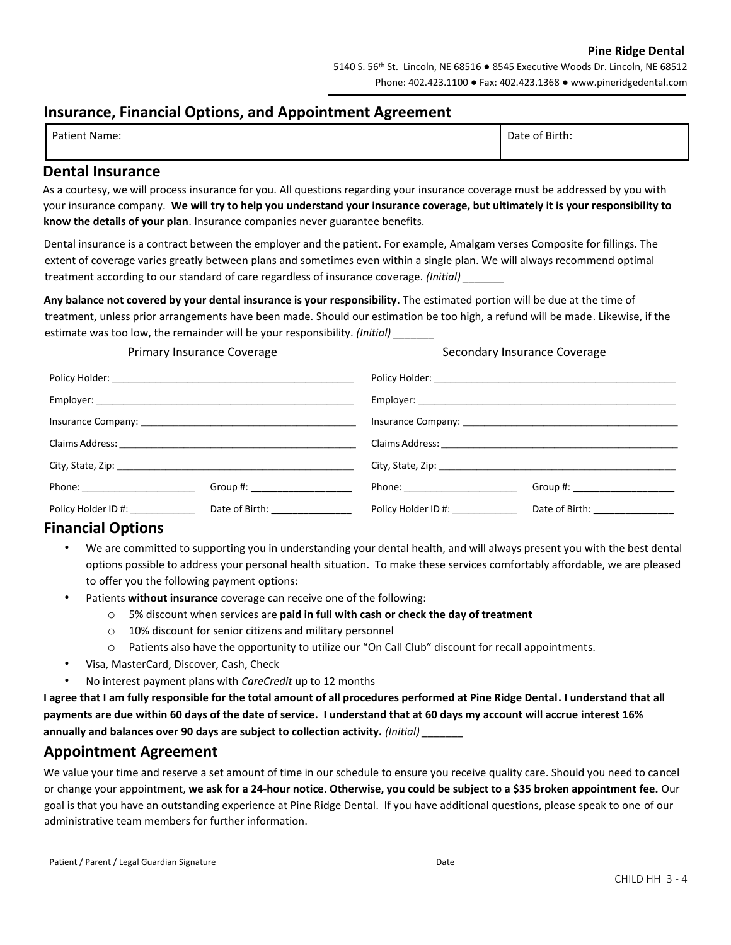#### **Pine Ridge Dental**

## **Insurance, Financial Options, and Appointment Agreement**

| <b>Patient Name:</b> | te of Birth:<br>Date |
|----------------------|----------------------|
|                      |                      |

### **Dental Insurance**

As a courtesy, we will process insurance for you. All questions regarding your insurance coverage must be addressed by you with your insurance company. **We will try to help you understand your insurance coverage, but ultimately it is your responsibility to know the details of your plan**. Insurance companies never guarantee benefits.

Dental insurance is a contract between the employer and the patient. For example, Amalgam verses Composite for fillings. The extent of coverage varies greatly between plans and sometimes even within a single plan. We will always recommend optimal treatment according to our standard of care regardless of insurance coverage. *(Initial) \_\_\_\_\_\_\_*

**Any balance not covered by your dental insurance is your responsibility**. The estimated portion will be due at the time of treatment, unless prior arrangements have been made. Should our estimation be too high, a refund will be made. Likewise, if the estimate was too low, the remainder will be your responsibility. *(Initial) \_\_\_\_\_\_\_*

| Primary Insurance Coverage        |                                  | Secondary Insurance Coverage |                                |  |
|-----------------------------------|----------------------------------|------------------------------|--------------------------------|--|
|                                   |                                  |                              |                                |  |
|                                   |                                  |                              |                                |  |
|                                   |                                  |                              |                                |  |
|                                   |                                  |                              |                                |  |
|                                   |                                  |                              |                                |  |
| Phone: ________________________   | Group #: _____________________   |                              | Group #: _____________________ |  |
| Policy Holder ID #: _____________ | Date of Birth: _________________ | Policy Holder ID #:          | Date of Birth: _______________ |  |

## **Financial Options**

- We are committed to supporting you in understanding your dental health, and will always present you with the best dental options possible to address your personal health situation. To make these services comfortably affordable, we are pleased to offer you the following payment options:
- Patients **without insurance** coverage can receive one of the following:
	- o 5% discount when services are **paid in full with cash or check the day of treatment**
	- o 10% discount for senior citizens and military personnel
	- o Patients also have the opportunity to utilize our "On Call Club" discount for recall appointments.
- Visa, MasterCard, Discover, Cash, Check
- No interest payment plans with *CareCredit* up to 12 months

**I agree that I am fully responsible for the total amount of all procedures performed at Pine Ridge Dental. I understand that all payments are due within 60 days of the date of service. I understand that at 60 days my account will accrue interest 16% annually and balances over 90 days are subject to collection activity.** *(Initial) \_\_\_\_\_\_\_*

## **Appointment Agreement**

We value your time and reserve a set amount of time in our schedule to ensure you receive quality care. Should you need to cancel or change your appointment, **we ask for a 24-hour notice. Otherwise, you could be subject to a \$35 broken appointment fee.** Our goal is that you have an outstanding experience at Pine Ridge Dental. If you have additional questions, please speak to one of our administrative team members for further information.